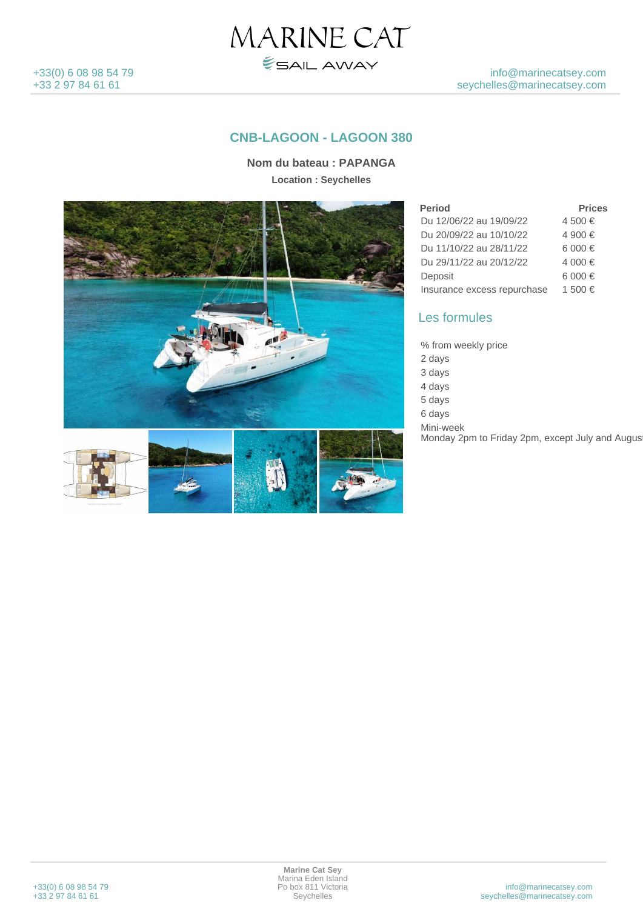

## **CNB-LAGOON - LAGOON 380**

MARINE CAT

**ESAIL AWAY** 

**Nom du bateau : PAPANGA Location : Seychelles**





| <b>Period</b>               | <b>Prices</b> |
|-----------------------------|---------------|
| Du 12/06/22 au 19/09/22     | 4 500 €       |
| Du 20/09/22 au 10/10/22     | 4 900 €       |
| Du 11/10/22 au 28/11/22     | 6.000 €       |
| Du 29/11/22 au 20/12/22     | 4 000 €       |
| Deposit                     | 6 000 €       |
| Insurance excess repurchase | 1 500 €       |

## Les formules

% from weekly price 2 days 3 days 4 days  $5$  days 6 days Mini-week Monday 2pm to Friday 2pm, except July and August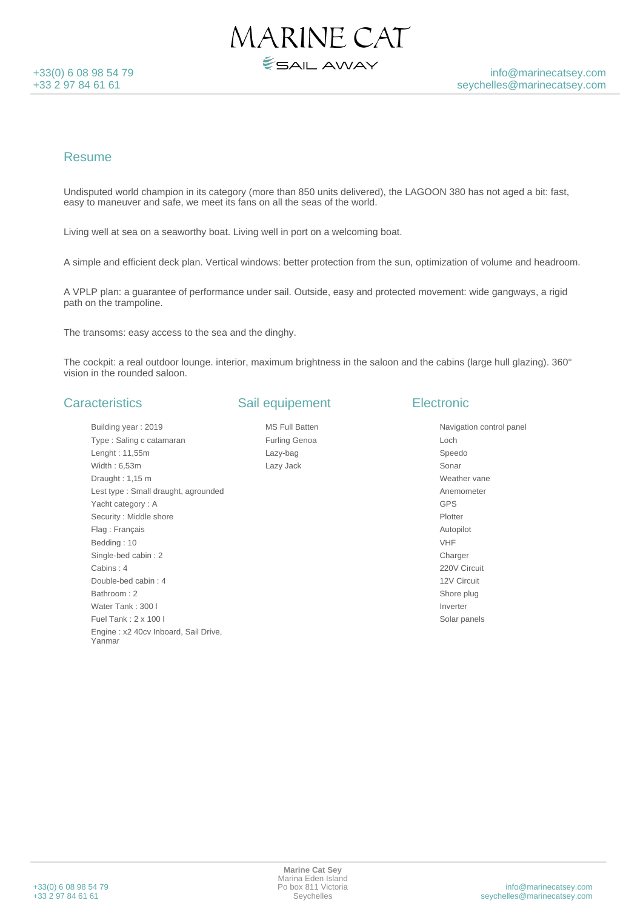

#### Resume

Undisputed world champion in its category (more than 850 units delivered), the LAGOON 380 has not aged a bit: fast, easy to maneuver and safe, we meet its fans on all the seas of the world.

MARINE CAT

ESAIL AWAY

Living well at sea on a seaworthy boat. Living well in port on a welcoming boat.

A simple and efficient deck plan. Vertical windows: better protection from the sun, optimization of volume and headroom.

A VPLP plan: a guarantee of performance under sail. Outside, easy and protected movement: wide gangways, a rigid path on the trampoline.

The transoms: easy access to the sea and the dinghy.

The cockpit: a real outdoor lounge. interior, maximum brightness in the saloon and the cabins (large hull glazing). 360° vision in the rounded saloon.

#### **Caracteristics**

Building year : 2019 Type : Saling c catamaran Lenght : 11,55m Width : 6,53m Draught : 1,15 m Lest type : Small draught, agrounded Yacht category : A Security : Middle shore Flag : Français Bedding : 10 Single-bed cabin : 2 Cabins : 4 Double-bed cabin : 4 Bathroom : 2 Water Tank: 300 l Fuel Tank : 2 x 100 l Engine : x2 40cv Inboard, Sail Drive, Yanmar

#### Sail equipement

MS Full Batten Furling Genoa Lazy-bag Lazy Jack

## **Electronic**

Navigation control panel Loch Speedo Sonar Weather vane Anemometer GPS Plotter Autopilot VHF Charger 220V Circuit 12V Circuit Shore plug Inverter Solar panels